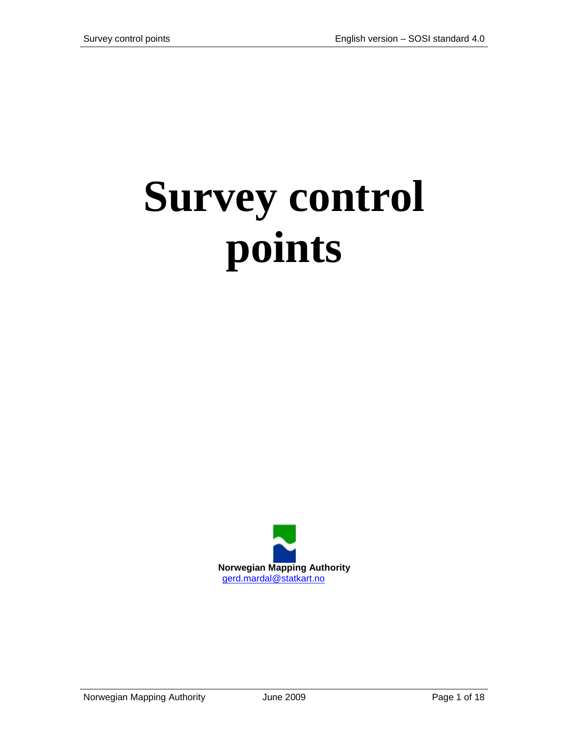# **Survey control points**

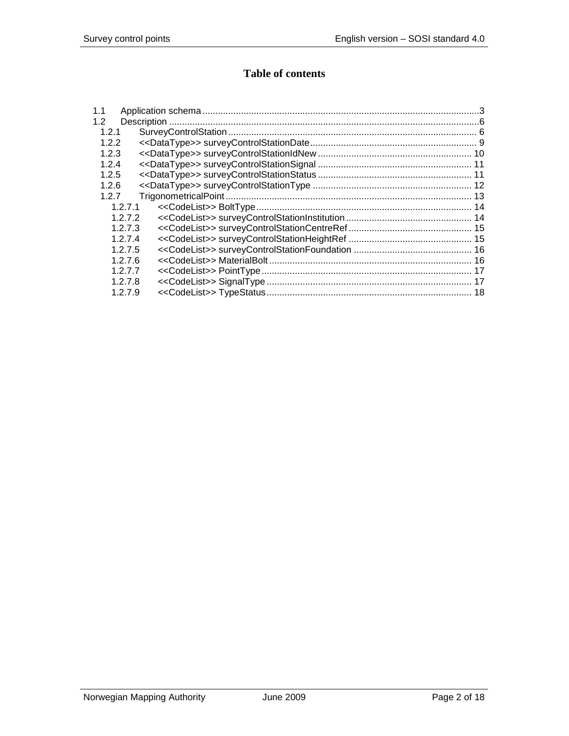## **Table of contents**

| 1.1     |  |
|---------|--|
| 1.2     |  |
| 1.2.1   |  |
| 122     |  |
| 1.2.3   |  |
| 1.2.4   |  |
| 1.2.5   |  |
| 1.2.6   |  |
| 1.2.7   |  |
| 1.2.7.1 |  |
| 1.2.7.2 |  |
| 1.2.7.3 |  |
| 1.2.7.4 |  |
| 1.2.7.5 |  |
| 1.2.7.6 |  |
| 1.2.7.7 |  |
| 1.2.7.8 |  |
| 1.2.7.9 |  |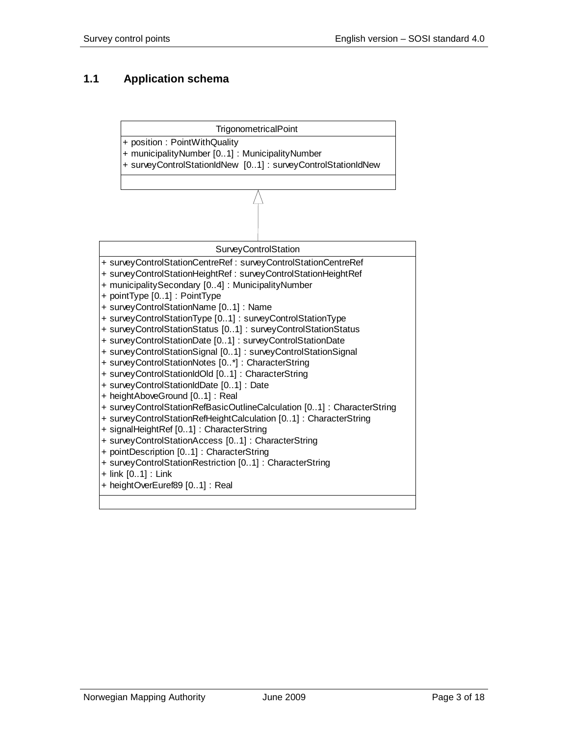#### <span id="page-2-0"></span>**1.1 Application schema**

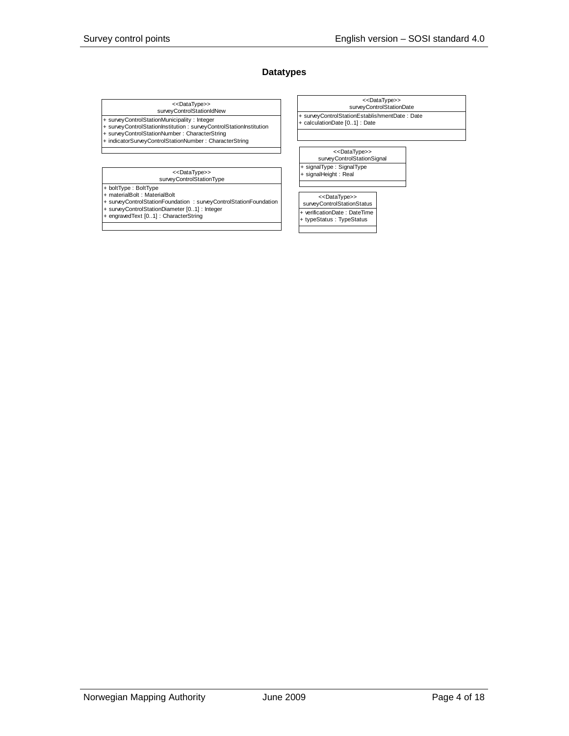#### **Datatypes**

#### surveyControlStationIdNew<br>surveyControlStationIdNew

+ surveyControlStationMunicipality : Integer<br>+ surveyControlStationInstitution : surveyControlStationInstitution<br>+ surveyControlStationNumber : CharacterString<br>+ indicatorSurveyControlStationNumber : CharacterString

surveyControlStationType <<DataType>>

- + boltType : BoltType
- 
- + materialBolt : MaterialBolt<br>+ surveyControlStationFoundation : surveyControlStationFoundation<br>+ surveyControlStationDiameter [0..1] : Integer
- engravedText [0..1] : CharacterString

surveyControlStationDate + surveyControlStationEstablishmentDate : Date calculationDate [0..1] : Date <<DataType>> surveyControlStationSignal + signalType : SignalType + signalHeight : Real <<DataType>> surveyControlStationStatus <<DataType>>

+ verificationDate : DateTime + typeStatus : TypeStatus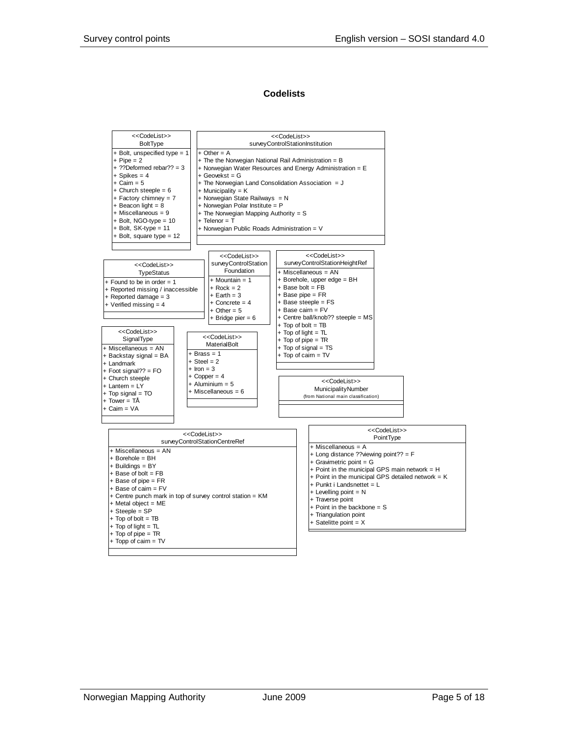#### **Codelists**

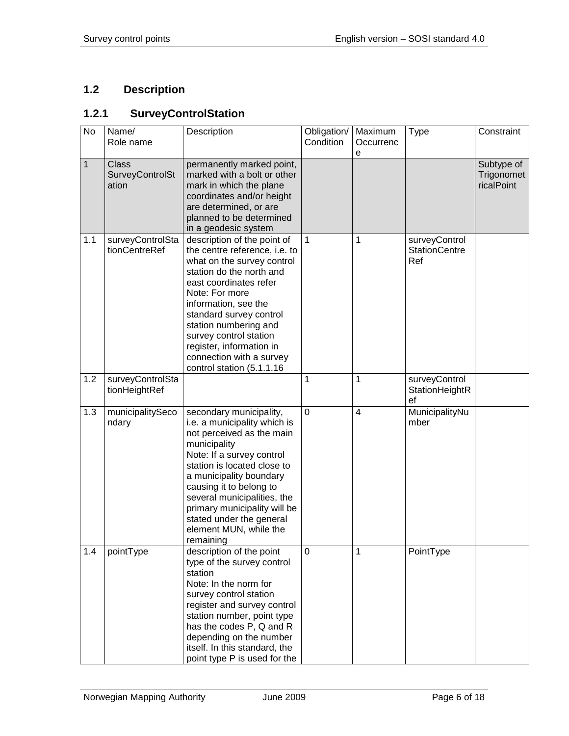## <span id="page-5-0"></span>**1.2 Description**

# <span id="page-5-1"></span>**1.2.1 SurveyControlStation**

| <b>No</b> | Name/<br>Role name                              | Description                                                                                                                                                                                                                                                                                                                                                   | Obligation/<br>Condition | Maximum<br>Occurrenc<br>е | <b>Type</b>                                  | Constraint                             |
|-----------|-------------------------------------------------|---------------------------------------------------------------------------------------------------------------------------------------------------------------------------------------------------------------------------------------------------------------------------------------------------------------------------------------------------------------|--------------------------|---------------------------|----------------------------------------------|----------------------------------------|
| 1         | <b>Class</b><br><b>SurveyControlSt</b><br>ation | permanently marked point,<br>marked with a bolt or other<br>mark in which the plane<br>coordinates and/or height<br>are determined, or are<br>planned to be determined<br>in a geodesic system                                                                                                                                                                |                          |                           |                                              | Subtype of<br>Trigonomet<br>ricalPoint |
| 1.1       | surveyControlSta<br>tionCentreRef               | description of the point of<br>the centre reference, i.e. to<br>what on the survey control<br>station do the north and<br>east coordinates refer<br>Note: For more<br>information, see the<br>standard survey control<br>station numbering and<br>survey control station<br>register, information in<br>connection with a survey<br>control station (5.1.1.16 | 1                        | 1                         | surveyControl<br><b>StationCentre</b><br>Ref |                                        |
| 1.2       | surveyControlSta<br>tionHeightRef               |                                                                                                                                                                                                                                                                                                                                                               | 1                        | 1                         | surveyControl<br>StationHeightR<br>ef        |                                        |
| 1.3       | municipalitySeco<br>ndary                       | secondary municipality,<br>i.e. a municipality which is<br>not perceived as the main<br>municipality<br>Note: If a survey control<br>station is located close to<br>a municipality boundary<br>causing it to belong to<br>several municipalities, the<br>primary municipality will be<br>stated under the general<br>element MUN, while the<br>remaining      | $\mathbf 0$              | 4                         | MunicipalityNu<br>mber                       |                                        |
| 1.4       | pointType                                       | description of the point<br>type of the survey control<br>station<br>Note: In the norm for<br>survey control station<br>register and survey control<br>station number, point type<br>has the codes P, Q and R<br>depending on the number<br>itself. In this standard, the<br>point type P is used for the                                                     | $\mathbf 0$              | 1                         | PointType                                    |                                        |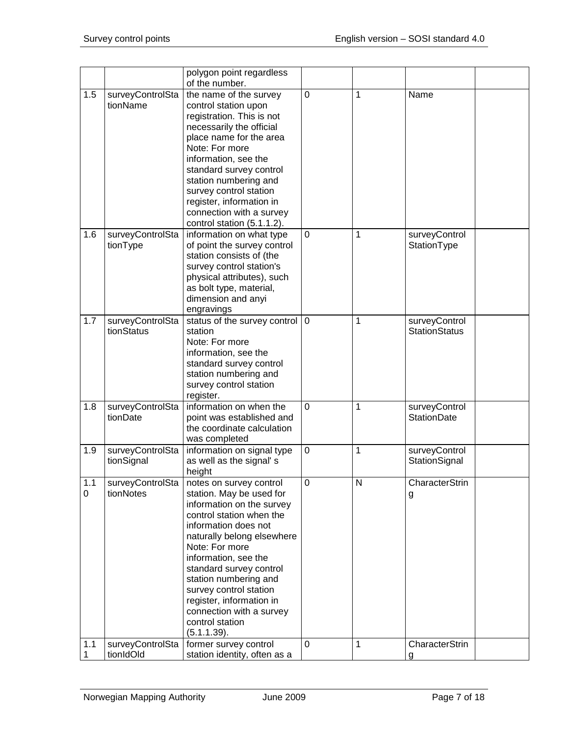|                    |                                | polygon point regardless<br>of the number.                                                                                                                                                                                                                                                                                                                                           |                |              |                                       |  |
|--------------------|--------------------------------|--------------------------------------------------------------------------------------------------------------------------------------------------------------------------------------------------------------------------------------------------------------------------------------------------------------------------------------------------------------------------------------|----------------|--------------|---------------------------------------|--|
| 1.5                | surveyControlSta<br>tionName   | the name of the survey<br>control station upon<br>registration. This is not<br>necessarily the official<br>place name for the area<br>Note: For more<br>information, see the<br>standard survey control<br>station numbering and<br>survey control station<br>register, information in<br>connection with a survey<br>control station (5.1.1.2).                                     | $\overline{0}$ | 1            | Name                                  |  |
| 1.6                | surveyControlSta<br>tionType   | information on what type<br>of point the survey control<br>station consists of (the<br>survey control station's<br>physical attributes), such<br>as bolt type, material,<br>dimension and anyi<br>engravings                                                                                                                                                                         | $\mathbf 0$    | 1            | surveyControl<br>StationType          |  |
| 1.7                | surveyControlSta<br>tionStatus | status of the survey control<br>station<br>Note: For more<br>information, see the<br>standard survey control<br>station numbering and<br>survey control station<br>register.                                                                                                                                                                                                         | $\mathbf 0$    | 1            | surveyControl<br><b>StationStatus</b> |  |
| 1.8                | surveyControlSta<br>tionDate   | information on when the<br>point was established and<br>the coordinate calculation<br>was completed                                                                                                                                                                                                                                                                                  | $\overline{0}$ | $\mathbf{1}$ | surveyControl<br><b>StationDate</b>   |  |
| 1.9                | surveyControlSta<br>tionSignal | information on signal type<br>as well as the signal's<br>height                                                                                                                                                                                                                                                                                                                      | 0              | 1            | surveyControl<br>StationSignal        |  |
| 1.1<br>$\mathbf 0$ | surveyControlSta<br>tionNotes  | notes on survey control<br>station. May be used for<br>information on the survey<br>control station when the<br>information does not<br>naturally belong elsewhere<br>Note: For more<br>information, see the<br>standard survey control<br>station numbering and<br>survey control station<br>register, information in<br>connection with a survey<br>control station<br>(5.1.1.39). | 0              | N            | CharacterStrin<br>g                   |  |
| 1.1<br>1           | surveyControlSta<br>tionIdOld  | former survey control<br>station identity, often as a                                                                                                                                                                                                                                                                                                                                | 0              | 1            | CharacterStrin<br>g                   |  |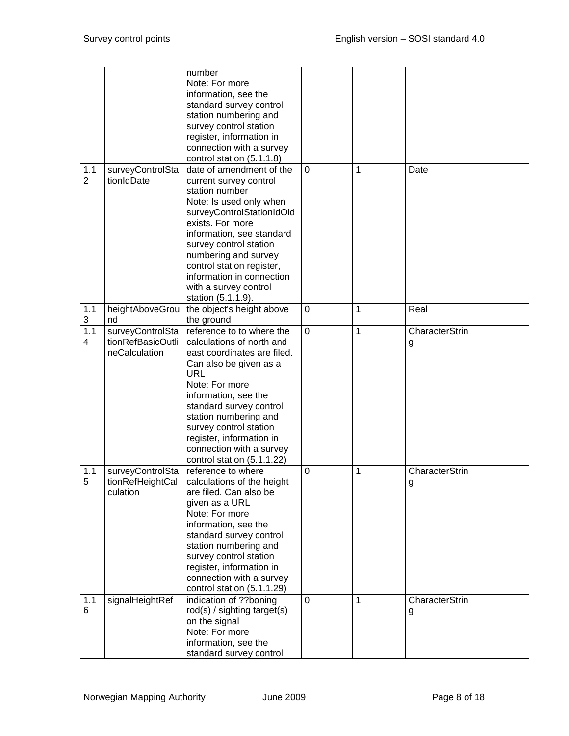|                       |                                                  | number<br>Note: For more<br>information, see the<br>standard survey control<br>station numbering and<br>survey control station<br>register, information in<br>connection with a survey<br>control station (5.1.1.8)                                                                                                                      |             |   |                     |  |
|-----------------------|--------------------------------------------------|------------------------------------------------------------------------------------------------------------------------------------------------------------------------------------------------------------------------------------------------------------------------------------------------------------------------------------------|-------------|---|---------------------|--|
| 1.1<br>$\overline{2}$ | surveyControlSta<br>tionIdDate                   | date of amendment of the<br>current survey control<br>station number<br>Note: Is used only when<br>surveyControlStationIdOld<br>exists. For more<br>information, see standard<br>survey control station<br>numbering and survey<br>control station register,<br>information in connection<br>with a survey control<br>station (5.1.1.9). | $\mathbf 0$ | 1 | Date                |  |
| 1.1<br>3              | heightAboveGrou<br>nd                            | the object's height above<br>the ground                                                                                                                                                                                                                                                                                                  | $\mathbf 0$ | 1 | Real                |  |
| 1.1                   | surveyControlSta                                 | reference to to where the                                                                                                                                                                                                                                                                                                                | $\mathbf 0$ | 1 | CharacterStrin      |  |
| 4                     | tionRefBasicOutli<br>neCalculation               | calculations of north and<br>east coordinates are filed.<br>Can also be given as a<br><b>URL</b><br>Note: For more<br>information, see the<br>standard survey control<br>station numbering and<br>survey control station<br>register, information in<br>connection with a survey<br>control station (5.1.1.22)                           |             |   | g                   |  |
| 1.1<br>5              | surveyControlSta<br>tionRefHeightCal<br>culation | reference to where<br>calculations of the height<br>are filed. Can also be<br>given as a URL<br>Note: For more<br>information, see the<br>standard survey control<br>station numbering and<br>survey control station<br>register, information in<br>connection with a survey<br>control station (5.1.1.29)                               | 0           | 1 | CharacterStrin<br>g |  |
| 1.1<br>6              | signalHeightRef                                  | indication of ??boning<br>rod(s) / sighting target(s)<br>on the signal<br>Note: For more<br>information, see the<br>standard survey control                                                                                                                                                                                              | 0           | 1 | CharacterStrin<br>g |  |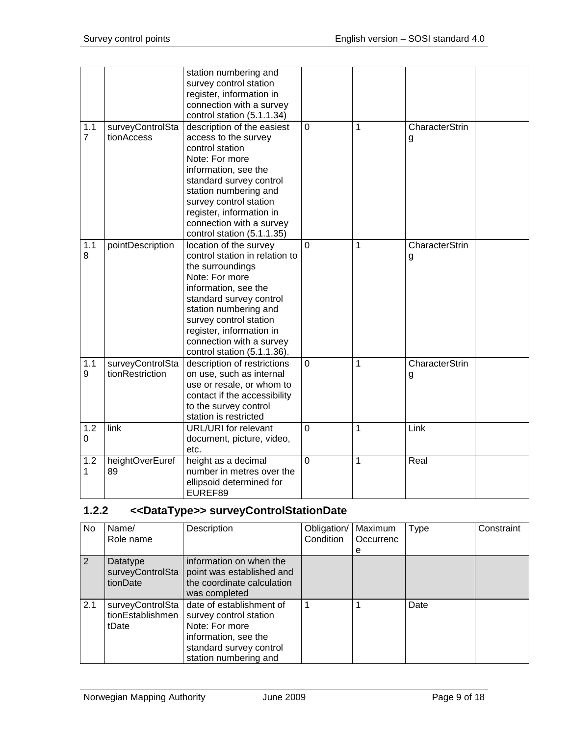|                  |                  | station numbering and<br>survey control station |                |   |                       |  |
|------------------|------------------|-------------------------------------------------|----------------|---|-----------------------|--|
|                  |                  | register, information in                        |                |   |                       |  |
|                  |                  | connection with a survey                        |                |   |                       |  |
|                  |                  | control station (5.1.1.34)                      |                |   |                       |  |
| $1.\overline{1}$ | surveyControlSta | description of the easiest                      | $\overline{0}$ | 1 | <b>CharacterStrin</b> |  |
| $\overline{7}$   | tionAccess       | access to the survey                            |                |   | g                     |  |
|                  |                  | control station                                 |                |   |                       |  |
|                  |                  | Note: For more                                  |                |   |                       |  |
|                  |                  | information, see the                            |                |   |                       |  |
|                  |                  | standard survey control                         |                |   |                       |  |
|                  |                  | station numbering and<br>survey control station |                |   |                       |  |
|                  |                  | register, information in                        |                |   |                       |  |
|                  |                  | connection with a survey                        |                |   |                       |  |
|                  |                  | control station (5.1.1.35)                      |                |   |                       |  |
| 1.1              | pointDescription | location of the survey                          | 0              | 1 | CharacterStrin        |  |
| 8                |                  | control station in relation to                  |                |   | g                     |  |
|                  |                  | the surroundings                                |                |   |                       |  |
|                  |                  | Note: For more                                  |                |   |                       |  |
|                  |                  | information, see the                            |                |   |                       |  |
|                  |                  | standard survey control                         |                |   |                       |  |
|                  |                  | station numbering and                           |                |   |                       |  |
|                  |                  | survey control station                          |                |   |                       |  |
|                  |                  | register, information in                        |                |   |                       |  |
|                  |                  | connection with a survey                        |                |   |                       |  |
|                  |                  | control station (5.1.1.36).                     |                |   |                       |  |
| 1.1              | surveyControlSta | description of restrictions                     | $\mathbf 0$    | 1 | CharacterStrin        |  |
| 9                | tionRestriction  | on use, such as internal                        |                |   | g                     |  |
|                  |                  | use or resale, or whom to                       |                |   |                       |  |
|                  |                  | contact if the accessibility                    |                |   |                       |  |
|                  |                  | to the survey control<br>station is restricted  |                |   |                       |  |
| 1.2              | link             | URL/URI for relevant                            | $\mathbf 0$    | 1 | Link                  |  |
| 0                |                  | document, picture, video,                       |                |   |                       |  |
|                  |                  | etc.                                            |                |   |                       |  |
| 1.2              | heightOverEuref  | height as a decimal                             | $\mathbf 0$    | 1 | Real                  |  |
| 1                | 89               | number in metres over the                       |                |   |                       |  |
|                  |                  | ellipsoid determined for                        |                |   |                       |  |
|                  |                  | EUREF89                                         |                |   |                       |  |

## <span id="page-8-0"></span>**1.2.2 <<DataType>> surveyControlStationDate**

| <b>No</b> | Name/                                         | Description                                                                                                                                      | Obligation/ | Maximum   | Type | Constraint |
|-----------|-----------------------------------------------|--------------------------------------------------------------------------------------------------------------------------------------------------|-------------|-----------|------|------------|
|           | Role name                                     |                                                                                                                                                  | Condition   | Occurrenc |      |            |
|           |                                               |                                                                                                                                                  |             | e         |      |            |
| 2         | Datatype<br>surveyControlSta<br>tionDate      | information on when the<br>point was established and<br>the coordinate calculation<br>was completed                                              |             |           |      |            |
| 2.1       | surveyControlSta<br>tionEstablishmen<br>tDate | date of establishment of<br>survey control station<br>Note: For more<br>information, see the<br>standard survey control<br>station numbering and |             |           | Date |            |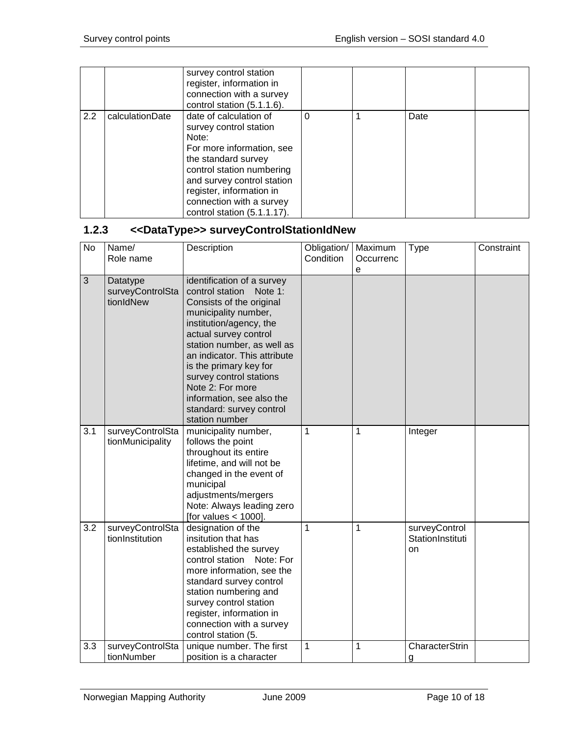|     |                 | survey control station<br>register, information in<br>connection with a survey<br>control station (5.1.1.6).                                                                                                                                                       |          |      |  |
|-----|-----------------|--------------------------------------------------------------------------------------------------------------------------------------------------------------------------------------------------------------------------------------------------------------------|----------|------|--|
| 2.2 | calculationDate | date of calculation of<br>survey control station<br>Note:<br>For more information, see<br>the standard survey<br>control station numbering<br>and survey control station<br>register, information in<br>connection with a survey<br>control station $(5.1.1.17)$ . | $\Omega$ | Date |  |

## <span id="page-9-0"></span>**1.2.3 <<DataType>> surveyControlStationIdNew**

| <b>No</b> | Name/<br>Role name                        | Description                                                                                                                                                                                                                                                                                                                                                                        | Obligation/<br>Condition | Maximum<br>Occurrenc<br>e | <b>Type</b>                             | Constraint |
|-----------|-------------------------------------------|------------------------------------------------------------------------------------------------------------------------------------------------------------------------------------------------------------------------------------------------------------------------------------------------------------------------------------------------------------------------------------|--------------------------|---------------------------|-----------------------------------------|------------|
| 3         | Datatype<br>surveyControlSta<br>tionIdNew | identification of a survey<br>control station<br>Note 1:<br>Consists of the original<br>municipality number,<br>institution/agency, the<br>actual survey control<br>station number, as well as<br>an indicator. This attribute<br>is the primary key for<br>survey control stations<br>Note 2: For more<br>information, see also the<br>standard: survey control<br>station number |                          |                           |                                         |            |
| 3.1       | surveyControlSta<br>tionMunicipality      | municipality number,<br>follows the point<br>throughout its entire<br>lifetime, and will not be<br>changed in the event of<br>municipal<br>adjustments/mergers<br>Note: Always leading zero<br>[for values $<$ 1000].                                                                                                                                                              | 1                        | 1                         | Integer                                 |            |
| 3.2       | surveyControlSta<br>tionInstitution       | designation of the<br>insitution that has<br>established the survey<br>control station Note: For<br>more information, see the<br>standard survey control<br>station numbering and<br>survey control station<br>register, information in<br>connection with a survey<br>control station (5.                                                                                         | 1                        | 1                         | surveyControl<br>StationInstituti<br>on |            |
| 3.3       | surveyControlSta<br>tionNumber            | unique number. The first<br>position is a character                                                                                                                                                                                                                                                                                                                                | 1                        | 1                         | CharacterStrin<br>g                     |            |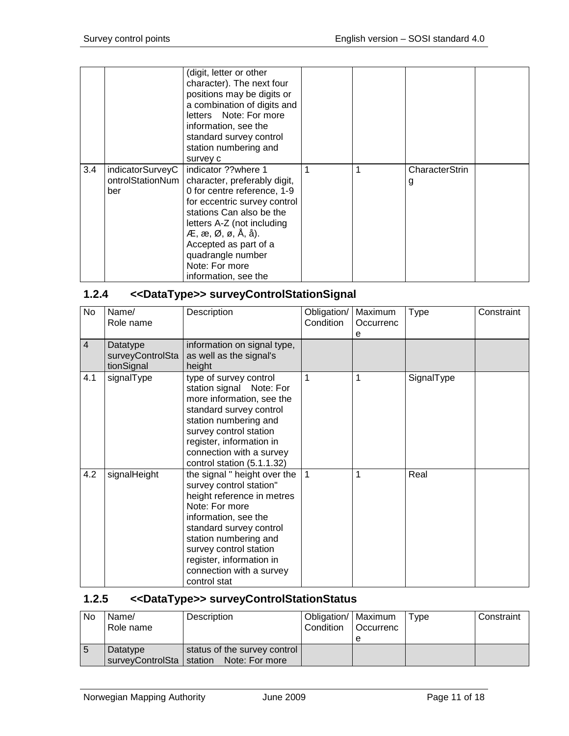|     |                                             | (digit, letter or other<br>character). The next four<br>positions may be digits or<br>a combination of digits and<br>letters Note: For more<br>information, see the<br>standard survey control<br>station numbering and<br>survey c                                                            |  |                     |  |
|-----|---------------------------------------------|------------------------------------------------------------------------------------------------------------------------------------------------------------------------------------------------------------------------------------------------------------------------------------------------|--|---------------------|--|
| 3.4 | indicatorSurveyC<br>ontrolStationNum<br>ber | indicator ??where 1<br>character, preferably digit,<br>0 for centre reference, 1-9<br>for eccentric survey control<br>stations Can also be the<br>letters A-Z (not including<br>$AE$ , æ, Ø, ø, Å, å).<br>Accepted as part of a<br>quadrangle number<br>Note: For more<br>information, see the |  | CharacterStrin<br>g |  |

## <span id="page-10-0"></span>**1.2.4 <<DataType>> surveyControlStationSignal**

| No             | Name/<br>Role name                         | Description                                                                                                                                                                                                                                                                           | Obligation/<br>Condition | Maximum<br>Occurrenc<br>e | <b>Type</b> | Constraint |
|----------------|--------------------------------------------|---------------------------------------------------------------------------------------------------------------------------------------------------------------------------------------------------------------------------------------------------------------------------------------|--------------------------|---------------------------|-------------|------------|
| $\overline{4}$ | Datatype<br>surveyControlSta<br>tionSignal | information on signal type,<br>as well as the signal's<br>height                                                                                                                                                                                                                      |                          |                           |             |            |
| 4.1            | signalType                                 | type of survey control<br>station signal Note: For<br>more information, see the<br>standard survey control<br>station numbering and<br>survey control station<br>register, information in<br>connection with a survey<br>control station (5.1.1.32)                                   | 1                        | 1                         | SignalType  |            |
| 4.2            | signalHeight                               | the signal " height over the<br>survey control station"<br>height reference in metres<br>Note: For more<br>information, see the<br>standard survey control<br>station numbering and<br>survey control station<br>register, information in<br>connection with a survey<br>control stat | 1                        | 1                         | Real        |            |

## <span id="page-10-1"></span>**1.2.5 <<DataType>> surveyControlStationStatus**

| No | Name/<br>Role name | Description                                                               | Obligation/   Maximum<br>Condition | <b>Occurrenc</b><br>e | Type | Constraint |
|----|--------------------|---------------------------------------------------------------------------|------------------------------------|-----------------------|------|------------|
|    | Datatype           | status of the survey control<br>surveyControlSta   station Note: For more |                                    |                       |      |            |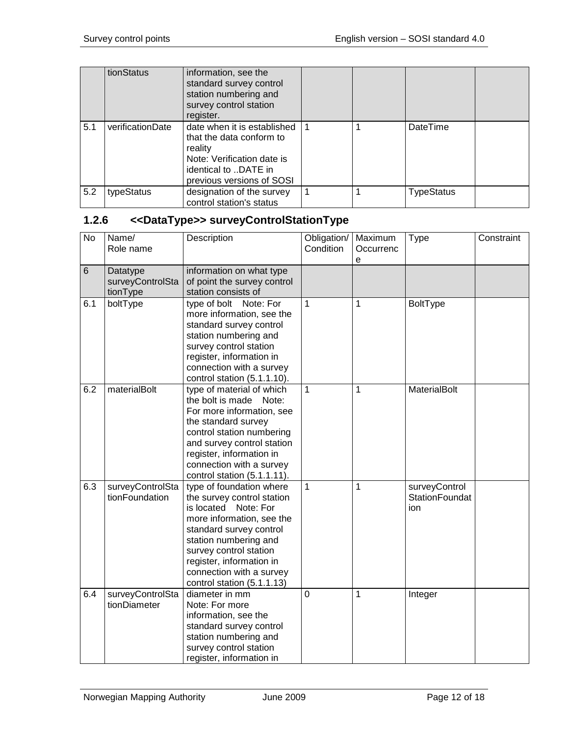|     | tionStatus       | information, see the<br>standard survey control<br>station numbering and<br>survey control station<br>register.                                       |  |                   |  |
|-----|------------------|-------------------------------------------------------------------------------------------------------------------------------------------------------|--|-------------------|--|
| 5.1 | verificationDate | date when it is established<br>that the data conform to<br>reality<br>Note: Verification date is<br>identical to DATE in<br>previous versions of SOSI |  | DateTime          |  |
| 5.2 | typeStatus       | designation of the survey<br>control station's status                                                                                                 |  | <b>TypeStatus</b> |  |

#### <span id="page-11-0"></span>**1.2.6 <<DataType>> surveyControlStationType**

| $\overline{N}$ | Name/<br>Role name                       | Description                                                                                                                                                                                                                                                                        | Obligation/<br>Condition | Maximum<br>Occurrenc<br>e | Type                                   | Constraint |
|----------------|------------------------------------------|------------------------------------------------------------------------------------------------------------------------------------------------------------------------------------------------------------------------------------------------------------------------------------|--------------------------|---------------------------|----------------------------------------|------------|
| 6              | Datatype<br>surveyControlSta<br>tionType | information on what type<br>of point the survey control<br>station consists of                                                                                                                                                                                                     |                          |                           |                                        |            |
| 6.1            | boltType                                 | type of bolt Note: For<br>more information, see the<br>standard survey control<br>station numbering and<br>survey control station<br>register, information in<br>connection with a survey<br>control station (5.1.1.10).                                                           | $\mathbf{1}$             | 1                         | <b>BoltType</b>                        |            |
| 6.2            | materialBolt                             | type of material of which<br>the bolt is made Note:<br>For more information, see<br>the standard survey<br>control station numbering<br>and survey control station<br>register, information in<br>connection with a survey<br>control station (5.1.1.11).                          | $\mathbf{1}$             | 1                         | MaterialBolt                           |            |
| 6.3            | surveyControlSta<br>tionFoundation       | type of foundation where<br>the survey control station<br>is located<br>Note: For<br>more information, see the<br>standard survey control<br>station numbering and<br>survey control station<br>register, information in<br>connection with a survey<br>control station (5.1.1.13) | 1                        | 1                         | surveyControl<br>StationFoundat<br>ion |            |
| 6.4            | surveyControlSta<br>tionDiameter         | diameter in mm<br>Note: For more<br>information, see the<br>standard survey control<br>station numbering and<br>survey control station<br>register, information in                                                                                                                 | $\overline{0}$           | $\overline{1}$            | Integer                                |            |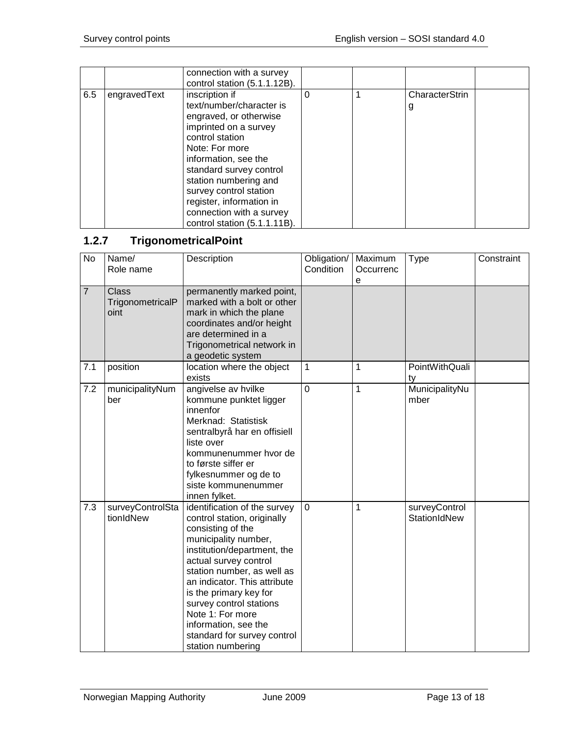|     |              | connection with a survey<br>control station (5.1.1.12B).                                                                                                                                                                                                                                                                         |  |                     |  |
|-----|--------------|----------------------------------------------------------------------------------------------------------------------------------------------------------------------------------------------------------------------------------------------------------------------------------------------------------------------------------|--|---------------------|--|
| 6.5 | engravedText | inscription if<br>text/number/character is<br>engraved, or otherwise<br>imprinted on a survey<br>control station<br>Note: For more<br>information, see the<br>standard survey control<br>station numbering and<br>survey control station<br>register, information in<br>connection with a survey<br>control station (5.1.1.11B). |  | CharacterStrin<br>g |  |

## <span id="page-12-0"></span>**1.2.7 TrigonometricalPoint**

| $\overline{N}$ | Name/            | Description                  | Obligation/    | Maximum   | <b>Type</b>    | Constraint |
|----------------|------------------|------------------------------|----------------|-----------|----------------|------------|
|                | Role name        |                              | Condition      | Occurrenc |                |            |
|                |                  |                              |                | e         |                |            |
| $\overline{7}$ | <b>Class</b>     | permanently marked point,    |                |           |                |            |
|                | TrigonometricalP | marked with a bolt or other  |                |           |                |            |
|                | oint             | mark in which the plane      |                |           |                |            |
|                |                  | coordinates and/or height    |                |           |                |            |
|                |                  | are determined in a          |                |           |                |            |
|                |                  | Trigonometrical network in   |                |           |                |            |
|                |                  | a geodetic system            |                |           |                |            |
| 7.1            | position         | location where the object    | 1              | 1         | PointWithQuali |            |
|                |                  | exists                       |                |           | ty             |            |
| 7.2            | municipalityNum  | angivelse av hvilke          | $\mathbf 0$    | 1         | MunicipalityNu |            |
|                | ber              | kommune punktet ligger       |                |           | mber           |            |
|                |                  | innenfor                     |                |           |                |            |
|                |                  | Merknad: Statistisk          |                |           |                |            |
|                |                  | sentralbyrå har en offisiell |                |           |                |            |
|                |                  | liste over                   |                |           |                |            |
|                |                  | kommunenummer hvor de        |                |           |                |            |
|                |                  | to første siffer er          |                |           |                |            |
|                |                  | fylkesnummer og de to        |                |           |                |            |
|                |                  | siste kommunenummer          |                |           |                |            |
|                |                  | innen fylket.                |                |           |                |            |
| 7.3            | surveyControlSta | identification of the survey | $\overline{0}$ | 1         | surveyControl  |            |
|                | tionIdNew        | control station, originally  |                |           | StationIdNew   |            |
|                |                  | consisting of the            |                |           |                |            |
|                |                  | municipality number,         |                |           |                |            |
|                |                  | institution/department, the  |                |           |                |            |
|                |                  | actual survey control        |                |           |                |            |
|                |                  | station number, as well as   |                |           |                |            |
|                |                  | an indicator. This attribute |                |           |                |            |
|                |                  | is the primary key for       |                |           |                |            |
|                |                  | survey control stations      |                |           |                |            |
|                |                  | Note 1: For more             |                |           |                |            |
|                |                  | information, see the         |                |           |                |            |
|                |                  | standard for survey control  |                |           |                |            |
|                |                  | station numbering            |                |           |                |            |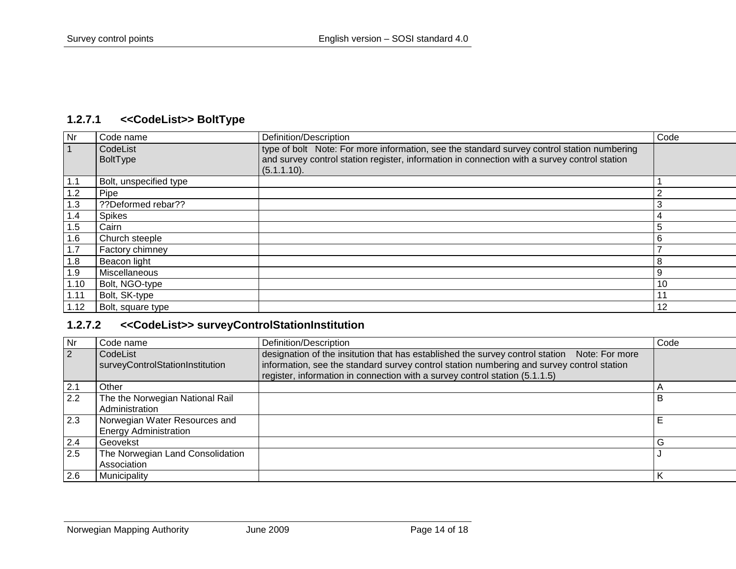## **1.2.7.1 <<CodeList>> BoltType**

| <b>Nr</b> | Code name                   | Definition/Description                                                                                                                                                                     | Code |
|-----------|-----------------------------|--------------------------------------------------------------------------------------------------------------------------------------------------------------------------------------------|------|
|           | CodeList<br><b>BoltType</b> | type of bolt Note: For more information, see the standard survey control station numbering<br>and survey control station register, information in connection with a survey control station |      |
|           |                             | $(5.1.1.10)$ .                                                                                                                                                                             |      |
| 1.1       | Bolt, unspecified type      |                                                                                                                                                                                            |      |
| 1.2       | Pipe                        |                                                                                                                                                                                            |      |
| 1.3       | ??Deformed rebar??          |                                                                                                                                                                                            | -1   |
| 1.4       | <b>Spikes</b>               |                                                                                                                                                                                            |      |
| 1.5       | Cairn                       |                                                                                                                                                                                            |      |
| 1.6       | Church steeple              |                                                                                                                                                                                            | 6    |
| 1.7       | Factory chimney             |                                                                                                                                                                                            |      |
| 1.8       | Beacon light                |                                                                                                                                                                                            |      |
| 1.9       | Miscellaneous               |                                                                                                                                                                                            | 9    |
| 1.10      | Bolt, NGO-type              |                                                                                                                                                                                            | 10   |
| 1.11      | Bolt, SK-type               |                                                                                                                                                                                            | 11   |
| 1.12      | Bolt, square type           |                                                                                                                                                                                            | 12   |

## <span id="page-13-0"></span>**1.2.7.2 <<CodeList>> surveyControlStationInstitution**

<span id="page-13-1"></span>

| Nr  | Code name                                                     | Definition/Description                                                                                                                                                                    | Code |
|-----|---------------------------------------------------------------|-------------------------------------------------------------------------------------------------------------------------------------------------------------------------------------------|------|
| 2   | CodeList<br>surveyControlStationInstitution                   | designation of the insitution that has established the survey control station Note: For more<br>information, see the standard survey control station numbering and survey control station |      |
|     |                                                               | register, information in connection with a survey control station (5.1.1.5)                                                                                                               |      |
| 2.1 | Other                                                         |                                                                                                                                                                                           |      |
| 2.2 | The the Norwegian National Rail<br>Administration             |                                                                                                                                                                                           | B    |
| 2.3 | Norwegian Water Resources and<br><b>Energy Administration</b> |                                                                                                                                                                                           | Е    |
| 2.4 | Geovekst                                                      |                                                                                                                                                                                           | G    |
| 2.5 | The Norwegian Land Consolidation                              |                                                                                                                                                                                           |      |
|     | Association                                                   |                                                                                                                                                                                           |      |
| 2.6 | Municipality                                                  |                                                                                                                                                                                           | К    |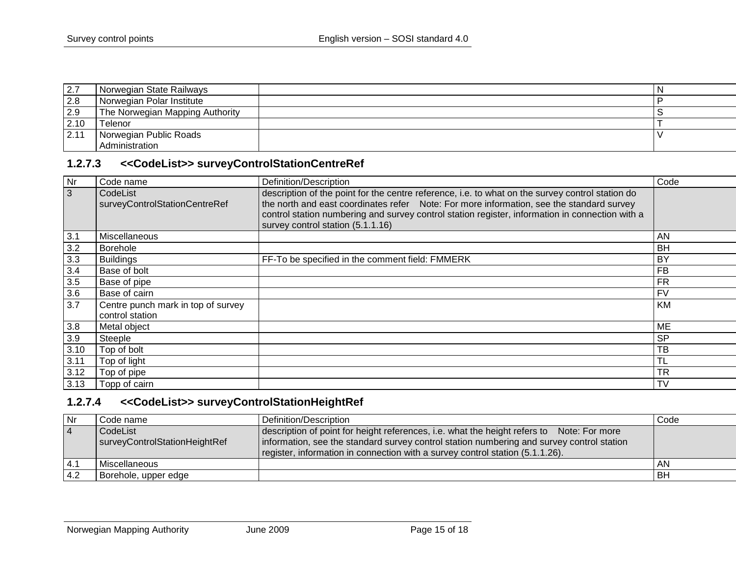| 2.7  | Norwegian State Railways        |  |
|------|---------------------------------|--|
| 2.8  | Norwegian Polar Institute       |  |
| 2.9  | The Norwegian Mapping Authority |  |
| 2.10 | Telenor                         |  |
| 2.11 | Norwegian Public Roads          |  |
|      | Administration                  |  |

#### **1.2.7.3 <<CodeList>> surveyControlStationCentreRef**

| Nr   | Code name                                 | Definition/Description                                                                                                                                                                                                                                                                                                               | Code      |
|------|-------------------------------------------|--------------------------------------------------------------------------------------------------------------------------------------------------------------------------------------------------------------------------------------------------------------------------------------------------------------------------------------|-----------|
| 3    | CodeList<br>surveyControlStationCentreRef | description of the point for the centre reference, i.e. to what on the survey control station do<br>the north and east coordinates refer Note: For more information, see the standard survey<br>control station numbering and survey control station register, information in connection with a<br>survey control station (5.1.1.16) |           |
| 3.1  | Miscellaneous                             |                                                                                                                                                                                                                                                                                                                                      | AN        |
| 3.2  | <b>Borehole</b>                           |                                                                                                                                                                                                                                                                                                                                      | <b>BH</b> |
| 3.3  | <b>Buildings</b>                          | FF-To be specified in the comment field: FMMERK                                                                                                                                                                                                                                                                                      | BY        |
| 3.4  | Base of bolt                              |                                                                                                                                                                                                                                                                                                                                      | FB        |
| 3.5  | Base of pipe                              |                                                                                                                                                                                                                                                                                                                                      | <b>FR</b> |
| 3.6  | Base of cairn                             |                                                                                                                                                                                                                                                                                                                                      | <b>FV</b> |
| 3.7  | Centre punch mark in top of survey        |                                                                                                                                                                                                                                                                                                                                      | <b>KM</b> |
|      | control station                           |                                                                                                                                                                                                                                                                                                                                      |           |
| 3.8  | Metal object                              |                                                                                                                                                                                                                                                                                                                                      | ME        |
| 3.9  | Steeple                                   |                                                                                                                                                                                                                                                                                                                                      | <b>SP</b> |
| 3.10 | Top of bolt                               |                                                                                                                                                                                                                                                                                                                                      | TB        |
| 3.11 | Top of light                              |                                                                                                                                                                                                                                                                                                                                      | TL        |
| 3.12 | Top of pipe                               |                                                                                                                                                                                                                                                                                                                                      | <b>TR</b> |
| 3.13 | Topp of cairn                             |                                                                                                                                                                                                                                                                                                                                      | <b>TV</b> |

#### <span id="page-14-0"></span>**1.2.7.4 <<CodeList>> surveyControlStationHeightRef**

<span id="page-14-1"></span>

| l Nr           | Code name                                 | Definition/Description                                                                                                                                                                                                                                                  | Code      |
|----------------|-------------------------------------------|-------------------------------------------------------------------------------------------------------------------------------------------------------------------------------------------------------------------------------------------------------------------------|-----------|
| $\overline{4}$ | CodeList<br>surveyControlStationHeightRef | description of point for height references, i.e. what the height refers to Note: For more<br>information, see the standard survey control station numbering and survey control station<br>register, information in connection with a survey control station (5.1.1.26). |           |
| 4.1            | Miscellaneous                             |                                                                                                                                                                                                                                                                         | AN        |
| 4.2            | Borehole, upper edge                      |                                                                                                                                                                                                                                                                         | <b>BH</b> |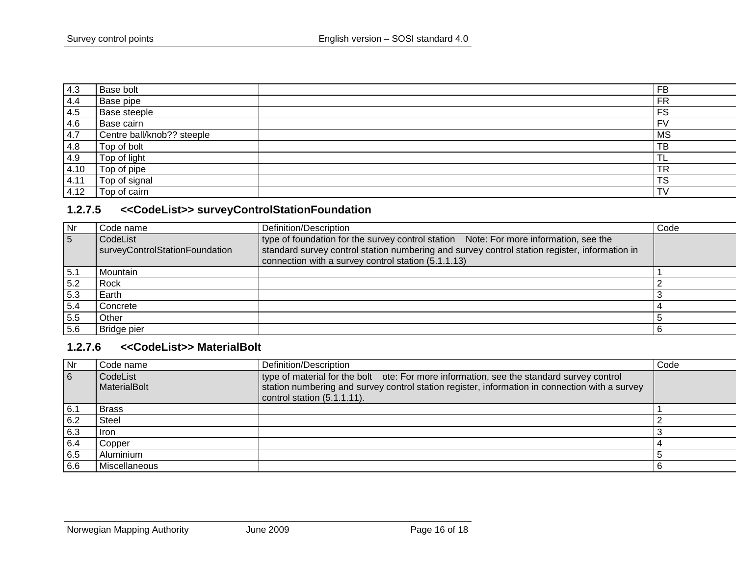| 4.3  | Base bolt                  | <b>FB</b>    |
|------|----------------------------|--------------|
| 4.4  | Base pipe                  | FR           |
| 4.5  | Base steeple               | FS           |
| 4.6  | Base cairn                 | $F\setminus$ |
| 4.7  | Centre ball/knob?? steeple | <b>MS</b>    |
| 4.8  | Top of bolt                | TB           |
| 4.9  | Top of light               | TL           |
| 4.10 | Top of pipe                | <b>TR</b>    |
| 4.11 | Top of signal              | <b>TS</b>    |
| 4.12 | Top of cairn               | TV           |

#### **1.2.7.5 <<CodeList>> surveyControlStationFoundation**

| Nr  | Code name                                  | Definition/Description                                                                                                                                                                                                                        | Code |
|-----|--------------------------------------------|-----------------------------------------------------------------------------------------------------------------------------------------------------------------------------------------------------------------------------------------------|------|
| 5   | CodeList<br>surveyControlStationFoundation | type of foundation for the survey control station Note: For more information, see the<br>standard survey control station numbering and survey control station register, information in<br>connection with a survey control station (5.1.1.13) |      |
| 5.1 | Mountain                                   |                                                                                                                                                                                                                                               |      |
| 5.2 | Rock                                       |                                                                                                                                                                                                                                               |      |
| 5.3 | Earth                                      |                                                                                                                                                                                                                                               |      |
| 5.4 | Concrete                                   |                                                                                                                                                                                                                                               |      |
| 5.5 | Other                                      |                                                                                                                                                                                                                                               |      |
| 5.6 | Bridge pier                                |                                                                                                                                                                                                                                               |      |

### **1.2.7.6 <<CodeList>> MaterialBolt**

<span id="page-15-1"></span><span id="page-15-0"></span>

| Nr  | Code name                | Definition/Description                                                                                                                                                                                                    | Code |
|-----|--------------------------|---------------------------------------------------------------------------------------------------------------------------------------------------------------------------------------------------------------------------|------|
| 6   | CodeList<br>MaterialBolt | type of material for the bolt ote: For more information, see the standard survey control<br>station numbering and survey control station register, information in connection with a survey<br>control station (5.1.1.11). |      |
| 6.1 | <b>Brass</b>             |                                                                                                                                                                                                                           |      |
| 6.2 | Steel                    |                                                                                                                                                                                                                           |      |
| 6.3 | <b>Iron</b>              |                                                                                                                                                                                                                           |      |
| 6.4 | Copper                   |                                                                                                                                                                                                                           |      |
| 6.5 | Aluminium                |                                                                                                                                                                                                                           |      |
| 6.6 | Miscellaneous            |                                                                                                                                                                                                                           |      |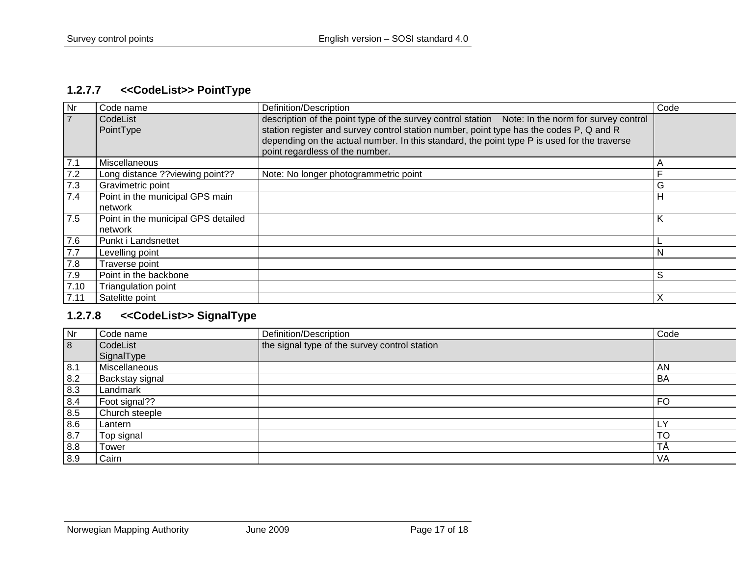#### **1.2.7.7 <<CodeList>> PointType**

| Nr             | Code name                                      | Definition/Description                                                                                                                                                                                                                                                                                                        | Code |
|----------------|------------------------------------------------|-------------------------------------------------------------------------------------------------------------------------------------------------------------------------------------------------------------------------------------------------------------------------------------------------------------------------------|------|
| $\overline{7}$ | CodeList<br>PointType                          | description of the point type of the survey control station Note: In the norm for survey control<br>station register and survey control station number, point type has the codes P, Q and R<br>depending on the actual number. In this standard, the point type P is used for the traverse<br>point regardless of the number. |      |
| 7.1            | <b>Miscellaneous</b>                           |                                                                                                                                                                                                                                                                                                                               | A    |
| 7.2            | Long distance ?? viewing point??               | Note: No longer photogrammetric point                                                                                                                                                                                                                                                                                         | F    |
| 7.3            | Gravimetric point                              |                                                                                                                                                                                                                                                                                                                               | G    |
| 7.4            | Point in the municipal GPS main<br>network     |                                                                                                                                                                                                                                                                                                                               | H    |
| 7.5            | Point in the municipal GPS detailed<br>network |                                                                                                                                                                                                                                                                                                                               | Κ    |
| 7.6            | Punkt i Landsnettet                            |                                                                                                                                                                                                                                                                                                                               |      |
| 7.7            | Levelling point                                |                                                                                                                                                                                                                                                                                                                               | N    |
| 7.8            | Traverse point                                 |                                                                                                                                                                                                                                                                                                                               |      |
| 7.9            | Point in the backbone                          |                                                                                                                                                                                                                                                                                                                               | S    |
| 7.10           | Triangulation point                            |                                                                                                                                                                                                                                                                                                                               |      |
| 7.11           | Satelitte point                                |                                                                                                                                                                                                                                                                                                                               | X    |

#### <span id="page-16-0"></span>**1.2.7.8 <<CodeList>> SignalType**

<span id="page-16-1"></span>

| Nr  | Code name       | Definition/Description                        | Code               |
|-----|-----------------|-----------------------------------------------|--------------------|
| 8   | CodeList        | the signal type of the survey control station |                    |
|     | SignalType      |                                               |                    |
| 8.1 | Miscellaneous   |                                               | AN                 |
| 8.2 | Backstay signal |                                               | <b>BA</b>          |
| 8.3 | Landmark        |                                               |                    |
| 8.4 | Foot signal??   |                                               | <b>FO</b>          |
| 8.5 | Church steeple  |                                               |                    |
| 8.6 | Lantern         |                                               | ш.                 |
| 8.7 | Top signal      |                                               | TC                 |
| 8.8 | Tower           |                                               | $\mathbf{r}$<br>ΙA |
| 8.9 | Cairn           |                                               | <b>VA</b>          |